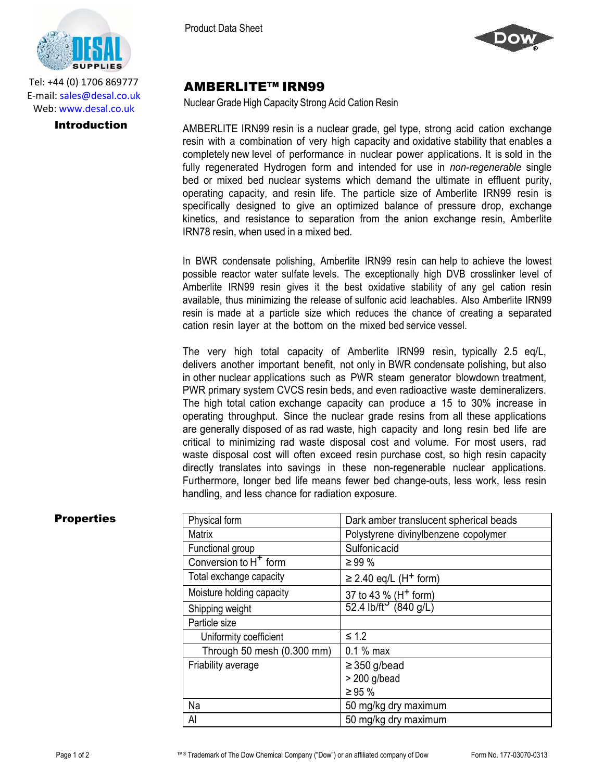

Tel: +44 (0) 1706 869777 E‐mail: sales@desal.co.uk Web: www.desal.co.uk

Product Data Sheet



# AMBERLITE™ IRN99

Nuclear Grade High Capacity Strong Acid Cation Resin

**Introduction** AMBERLITE IRN99 resin is a nuclear grade, gel type, strong acid cation exchange resin with a combination of very high capacity and oxidative stability that enables a completely new level of performance in nuclear power applications. It is sold in the fully regenerated Hydrogen form and intended for use in *non-regenerable* single bed or mixed bed nuclear systems which demand the ultimate in effluent purity, operating capacity, and resin life. The particle size of Amberlite IRN99 resin is specifically designed to give an optimized balance of pressure drop, exchange kinetics, and resistance to separation from the anion exchange resin, Amberlite IRN78 resin, when used in a mixed bed.

> In BWR condensate polishing, Amberlite IRN99 resin can help to achieve the lowest possible reactor water sulfate levels. The exceptionally high DVB crosslinker level of Amberlite IRN99 resin gives it the best oxidative stability of any gel cation resin available, thus minimizing the release of sulfonic acid leachables. Also Amberlite IRN99 resin is made at a particle size which reduces the chance of creating a separated cation resin layer at the bottom on the mixed bed service vessel.

The very high total capacity of Amberlite IRN99 resin, typically 2.5 eq/L, delivers another important benefit, not only in BWR condensate polishing, but also in other nuclear applications such as PWR steam generator blowdown treatment, PWR primary system CVCS resin beds, and even radioactive waste demineralizers. The high total cation exchange capacity can produce a 15 to 30% increase in operating throughput. Since the nuclear grade resins from all these applications are generally disposed of as rad waste, high capacity and long resin bed life are critical to minimizing rad waste disposal cost and volume. For most users, rad waste disposal cost will often exceed resin purchase cost, so high resin capacity directly translates into savings in these non-regenerable nuclear applications. Furthermore, longer bed life means fewer bed change-outs, less work, less resin handling, and less chance for radiation exposure.

| <b>Properties</b> | Physical form              | Dark amber translucent spherical beads                |  |
|-------------------|----------------------------|-------------------------------------------------------|--|
|                   | Matrix                     | Polystyrene divinylbenzene copolymer                  |  |
|                   | Functional group           | Sulfonicacid                                          |  |
|                   | Conversion to $H^+$ form   | $\geq 99 \%$                                          |  |
|                   | Total exchange capacity    | $\geq$ 2.40 eq/L (H <sup>+</sup> form)                |  |
|                   | Moisture holding capacity  | 37 to 43 % (H <sup>+</sup> form)                      |  |
|                   | Shipping weight            | $\overline{52.4 \text{ lb/ft}^3 \ (840 \text{ g/L})}$ |  |
|                   | Particle size              |                                                       |  |
|                   | Uniformity coefficient     | $\leq 1.2$                                            |  |
|                   | Through 50 mesh (0.300 mm) | $0.1%$ max                                            |  |
|                   | Friability average         | $\geq$ 350 g/bead                                     |  |
|                   |                            | $> 200$ g/bead                                        |  |
|                   |                            | $\geq 95 \%$                                          |  |
|                   | Na                         | 50 mg/kg dry maximum                                  |  |
|                   | Al                         | 50 mg/kg dry maximum                                  |  |